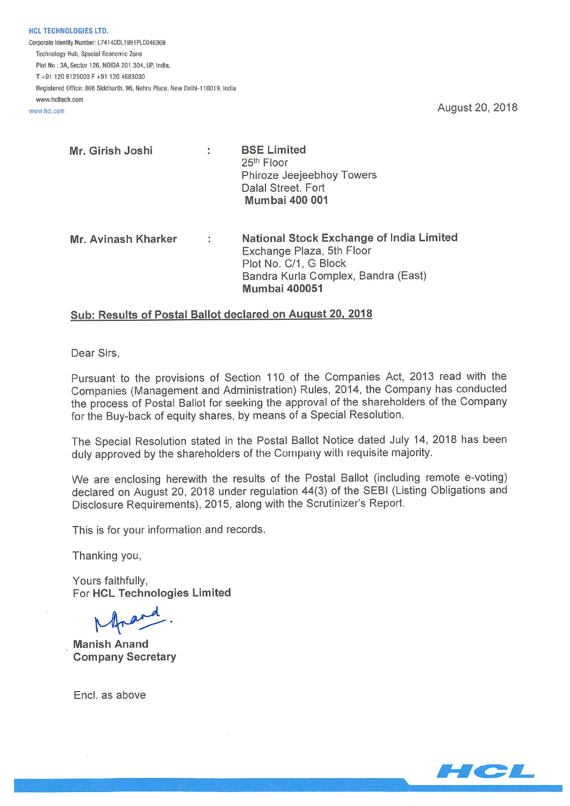HCL TECHNOLOGIES LTD. Corporate Identity Number: L74140DL1991PLC046369 Technology Hub, Special Economic Zone Plot No :34, Sector 126, NOIDA 201 304, UP, India. T+91 120 6125000F+91 1204683030 Registered Office: 806 Siddharth, 96, Nehru Place, New Delhi-110019, India www.hcltech.com

www.hcl.com **August 20, 2018** 

| Mr. Girish Joshi | <b>BSE Limited</b>                                                                                 |  |  |  |  |  |
|------------------|----------------------------------------------------------------------------------------------------|--|--|--|--|--|
|                  | 25 <sup>th</sup> Floor<br>Phiroze Jeejeebhoy Towers<br>Dalal Street. Fort<br><b>Mumbai 400 001</b> |  |  |  |  |  |
|                  |                                                                                                    |  |  |  |  |  |
|                  |                                                                                                    |  |  |  |  |  |
|                  |                                                                                                    |  |  |  |  |  |
|                  |                                                                                                    |  |  |  |  |  |
|                  |                                                                                                    |  |  |  |  |  |

Mr. Avinash Kharker : National Stock Exchange of India Limited Exchange Plaza, 5th Floor Plot No. C/1, G Block Bandra Kurla Complex, Bandra (East) Mumbai 400051

## Sub: Results of Postal Ballot declared on August 20, 2018

Dear Sirs,

Pursuant to the provisions of Section 110 of the Companies Act, 2013 read with the Companies (Management and Administration) Rules, 2014, the Company has conducted the process of Postal Ballot for seeking the approval of the shareholders of the Company for the Buy-back of equity shares, by means of a Special Resolution.

The Special Resolution stated in the Postal Ballot Notice dated July 14, 2018 has been duly approved by the shareholders of the Company with requisite majority.

We are enclosing herewith the results of the Postal Ballot (including remote e-voting) declared on August 20, 2018 under regulation 44(3) of the SEBI (Listing Obligations and Disclosure Requirements), 2015, along with the Scrutinizer's Report.

This is for your information and records.

Thanking you,

Yours faithfully, For HCL Technologies Limited

Manish Anand Company Secretary

End, as above

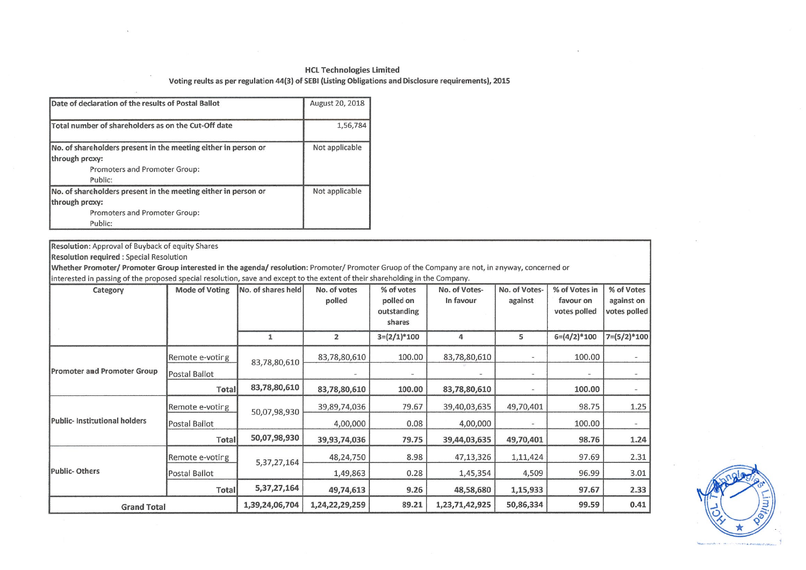### HCL Technologies Limited

#### Voting reults as per regulation 44(3) of SEBI (Listing Obligations and Disclosure requirements), <sup>2015</sup>

| Date of declaration of the results of Postal Ballot            | August 20, 2018 |
|----------------------------------------------------------------|-----------------|
| Total number of shareholders as on the Cut-Off date            | 1,56,784        |
| No. of shareholders present in the meeting either in person or | Not applicable  |
| through proxy:                                                 |                 |
| Promoters and Promoter Group:                                  |                 |
| Public:                                                        |                 |
| No. of shareholders present in the meeting either in person or | Not applicable  |
| through proxy:                                                 |                 |
| Promoters and Promoter Group:                                  |                 |
| Public:                                                        |                 |

Resolution: Approval of Buyback of equity Shares Resolution required : Special Resolution Wh<mark>ether Promoter/ Promoter Group interested in the agenda/ resolution</mark>: Promoter/ Promoter Gruop of the Company are not, in anyway, concerned or interested in passing of the proposed special resolution, save and except to the extent of their shareholding in the Company. Category% of votes<br>polled on No. of Votes-% of Votes in % of Votes<br>favour on against on y Mode of Voting No. of shares held No. of votes  $\frac{1}{2}$ No. of Votes-In favour against favour on outstanding votes polled votes polledshares  $\overline{1}$  $\overline{2}$  $3=(2/1)*100$ 45  $6=(4/2)*100$   $7=(5/2)*100$ 4 5  $- 100.00$   $- 100.00$ Remote e-voting 83,78,80,610 100.00 83,78,80,61083,78,80,610 Promoter a<mark>n</mark>d Promoter Grou Postal Ballot  $\omega$ Ŵ.  $\omega$ 83,78,80,610 **Total** 83,78,80,610 100.00 83,78,80,610 $-$  100.00  $-$ 79.67 39,40,03,635 49,70,401 98.75 1.25 Remote e-voting 39,89,74,036 50,07,98,930 Public- Institutional holders**Postal Ballot** 4,00,000 0.08 4,00,000 $- 100.00$  -50,07,98,930 49,70,401 98.76 1.24 **Total** 39,93,74,036 79.75 39,44,03,63548,24,750 8.98 1,11,424 97.69 2.31 47,13,326Remote e-votirg 5,37,27,164 Public- Others0.28 4,509 96.99 3.01 **Postal Ballot** 1,49,863 1,45,3545,37,27,164 9.26 1,15,933 97.67 2.33 **Total** 49,74,613 48,58,680d Total 1,39,24,06,704 1,24,22,29,259 89.21 1,23,71,42,925 50,86,334 99.59 0.41 **Grand Total** 

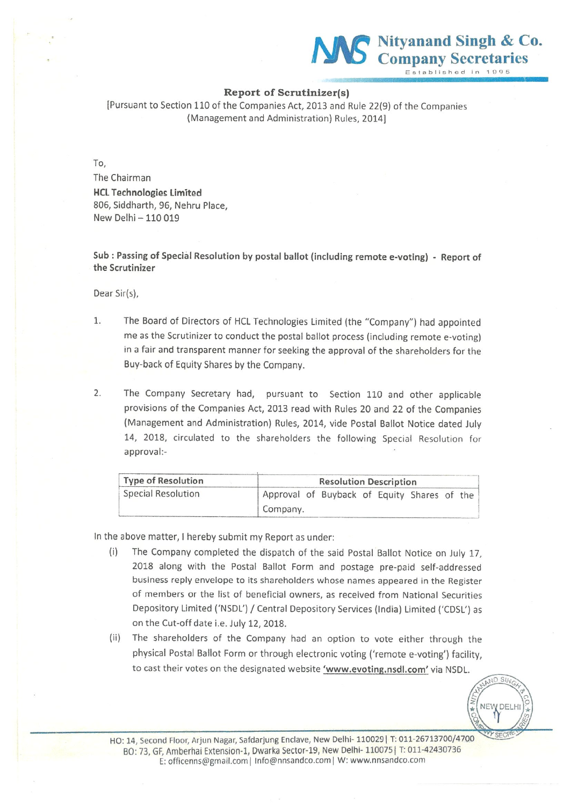

### Report of Scrutinizer(s)

[Pursuant to Section 110 of the Companies Act, 2013 and Rule 22(9) of the Companies (Management and Administration) Rules, 2014]

To,

The Chairman MCI Technologies limited 806, Siddharth, 96, Nehru Place, New Delhi —110019

Sub : Passing of Special Resolution by postal ballot (including remote e-voting) - Report of the Scrutinizer

Dear Sir(s),

- 1. The Board of Directors of HCL Technologies Limited (the "Company") had appointed me as the Scrutinizer to conduct the postal ballot process (including remote e-voting) in <sup>a</sup> fair and transparent manner for seeking the approval of the shareholders for the Buy-back of Equity Shares by the Company.
- 2. The Company Secretary had, pursuant to Section 110 and other applicable provisions of the Companies Act, 2013 read with Rules 20 and 22 of the Companies (Management and Administration) Rules, 2014, vide Postal Ballot Notice dated July 14, 2018, circulated to the shareholders the following Special Resolution for approval:

| <b>Type of Resolution</b> | <b>Resolution Description</b>               |  |  |  |  |  |  |  |
|---------------------------|---------------------------------------------|--|--|--|--|--|--|--|
| Special Resolution        | Approval of Buyback of Equity Shares of the |  |  |  |  |  |  |  |
|                           | Company.                                    |  |  |  |  |  |  |  |

In the above matter, <sup>I</sup> hereby submit my Report as under:

- (i) The Company completed the dispatch of the said Postal Ballot Notice on July 17, 2018 along with the Postal Ballot Form and postage pre-paid self-addressed business reply envelope to its shareholders whose names appeared in the Register of members or the list of beneficial owners, as received from National Securities Depository Limited ('NSDL') / Central Depository Services (India) Limited ('CDSL') as on the Cut-off date i.e. July 12, 2018.
- (ii) The shareholders of the Company had an option to vote either through the physical Postal Ballot Form or through electronic voting ('remote e-voting') facility, to cast their votes on the designated website 'www.evoting.nsdl.com' via NSDL.

 $NDSU$ NEW DELH

HO: 14, Second Floor, Arjun Nagar, Safdarjung Enclave, New Delhi- 110029 | T: 011-26713700/4700 BO: 73, GF, Amberhai Extension-1, Dwarka Sector-19, New Delhi- 110075 | T: 011-42430736 E: officenns@gmail.com | Info@nnsandco.com | W: www.nnsandco.com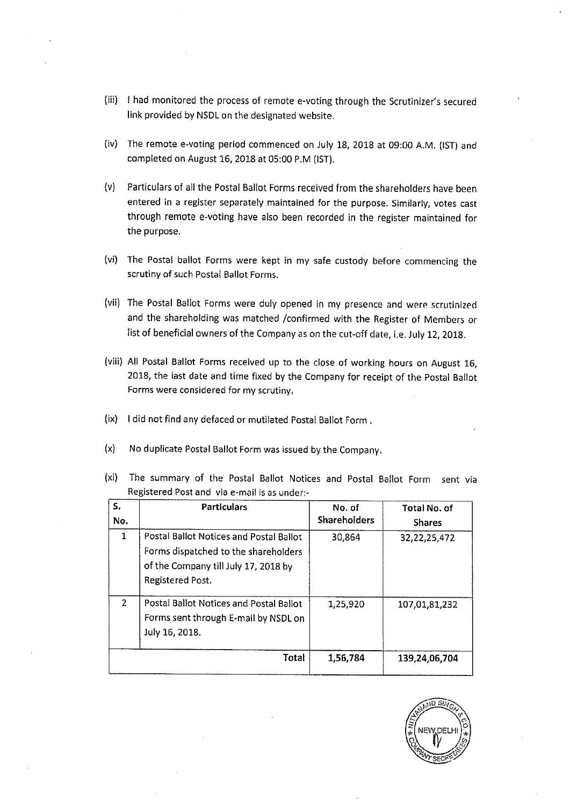- (fli) <sup>I</sup> had monitored the process of remote e-voting through the Scrutinizer's secured link provided by NSDL on the designated website.
- (iv) The remote e-voting period commenced on July 18, 2018 at 09:00 A.M. (1ST) and completed on August 16, 2018 at 05:00 P.M (1ST).
- (v) Particulars of all the Postal Ballot Forms received from the shareholders have been entered in <sup>a</sup> register separately maintained for the purpose. Similarly, votes cast through remote e-voting have also been recorded in the register maintained for the purpose.
- (vi) The Postal ballot Forms were kept in my safe custody before commencing the scrutiny of such Postal Ballot Forms.
- (vii) The Postal Ballot Forms were duly opened in my presence and were scrutinized and the shareholding was matched /confirmed with the Register of Members or list of beneficial owners of the Company as on the cut-off date, i.e. July 12, 2018.
- (viii) All Postal Ballot Forms received up to the close of working hours on August 16, 2018, the last date and time fixed by the Company for receipt of the Postal Ballot Forms were considered for my scrutiny.
- (ix) <sup>I</sup> did not find any defaced or mutilated Postal Ballot Form.
- (x) No duplicate Postal Ballot Form was issued by the Company.

|                                              | (xi) The summary of the Postal Ballot Notices and Postal Ballot Form sent via |  |  |  |  |  |  |  |  |
|----------------------------------------------|-------------------------------------------------------------------------------|--|--|--|--|--|--|--|--|
| Registered Post and via e-mail is as under:- |                                                                               |  |  |  |  |  |  |  |  |

| s.<br>No.      | <b>Particulars</b>                                                                                                                          | No. of<br><b>Shareholders</b> | Total No. of<br><b>Shares</b> |
|----------------|---------------------------------------------------------------------------------------------------------------------------------------------|-------------------------------|-------------------------------|
| 1              | Postal Ballot Notices and Postal Ballot<br>Forms dispatched to the shareholders<br>of the Company till July 17, 2018 by<br>Registered Post. | 30,864                        | 32, 22, 25, 472               |
| $\overline{2}$ | Postal Ballot Notices and Postal Ballot<br>Forms sent through E-mail by NSDL on<br>July 16, 2018.                                           | 1,25,920                      | 107,01,81,232                 |
|                | Total                                                                                                                                       | 1,56,784                      | 139,24,06,704                 |

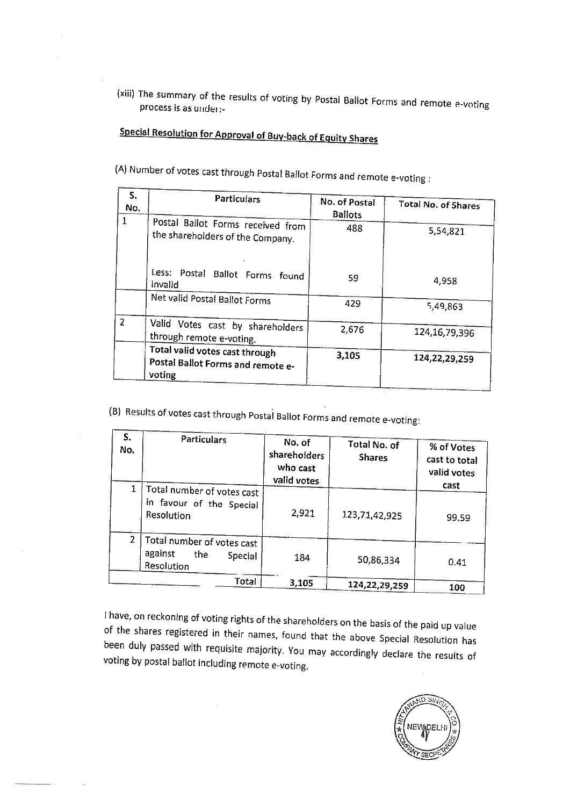(xiii) The summary of the results of voting by Postal Ballot Forms and remote e-voting process is as under:-

# Special Resolution for Approval of Buy-back of Equity Shares

(A) Number of votes cast through Postal Ballot Forms and remote e-voting:

| S.<br>No.      | <b>Particulars</b>                                                            | No. of Postal<br><b>Ballots</b> | <b>Total No. of Shares</b> |
|----------------|-------------------------------------------------------------------------------|---------------------------------|----------------------------|
| 1              | Postal Ballot Forms received from<br>the shareholders of the Company.         | 488                             | 5,54,821                   |
|                | Less: Postal Ballot Forms found<br>invalid                                    | 59.                             | 4,958                      |
|                | Net valid Postal Ballot Forms                                                 | 429                             | 5,49,863                   |
| $\overline{2}$ | Valid Votes cast by shareholders<br>through remote e-voting.                  | 2,676                           | 124, 16, 79, 396           |
|                | Total valid votes cast through<br>Postal Ballot Forms and remote e-<br>voting | 3,105                           | 124, 22, 29, 259           |

(B) Results of votes cast through Postal Ballot Forms and remote e-voting:

| S.<br>No. | <b>Particulars</b>                                                    | No. of<br>shareholders<br>who cast<br>valid votes | % of Votes<br>cast to total<br>valid votes<br>cast |       |
|-----------|-----------------------------------------------------------------------|---------------------------------------------------|----------------------------------------------------|-------|
|           | Total number of votes cast<br>in favour of the Special<br>Resolution  | 2,921                                             | 123,71,42,925                                      | 99.59 |
| 2         | Total number of votes cast<br>against<br>the<br>Special<br>Resolution | 184                                               | 50,86,334                                          | 0.41  |
|           | Total                                                                 | 3,105                                             | 124,22,29,259                                      | 100   |

<sup>I</sup> have, on reckoning of voting rights of the shareholders on the basis of the paid up value of the shares registered in their names, found that the above Special Resolution has been duly passed with requisite majority. You may accordingly declare the results of voting by postal ballot including remote e-voting.

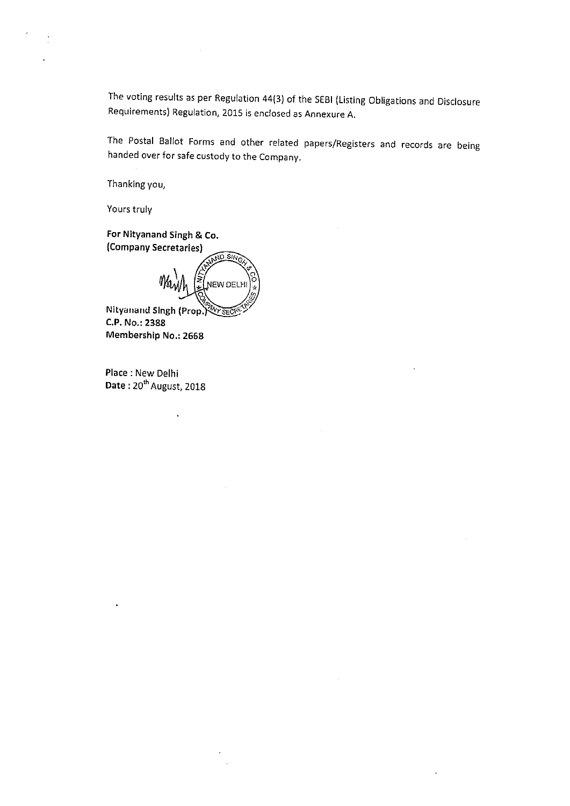The voting results as per Regulation 44(3) of the SEBI (Listing Obligations and Disclosure Requirements) Regulation, 2015 is enclosed as Annexure A.

The Postal Ballot Forms and other related papers/Registers and records are being handed over for safe custody to the Company.

Thanking you,

Yours truly

For Nityanand Singh & Co. (Company Secretaries)

 $\sqrt{10.8}$ NEW DELH

Nityanand Singh (Prop.) C.P. No.: 2388 Membership No.: 2668

 $\ddot{\phantom{0}}$ 

Place : New Delhi Date: 20<sup>th</sup> August, 2018